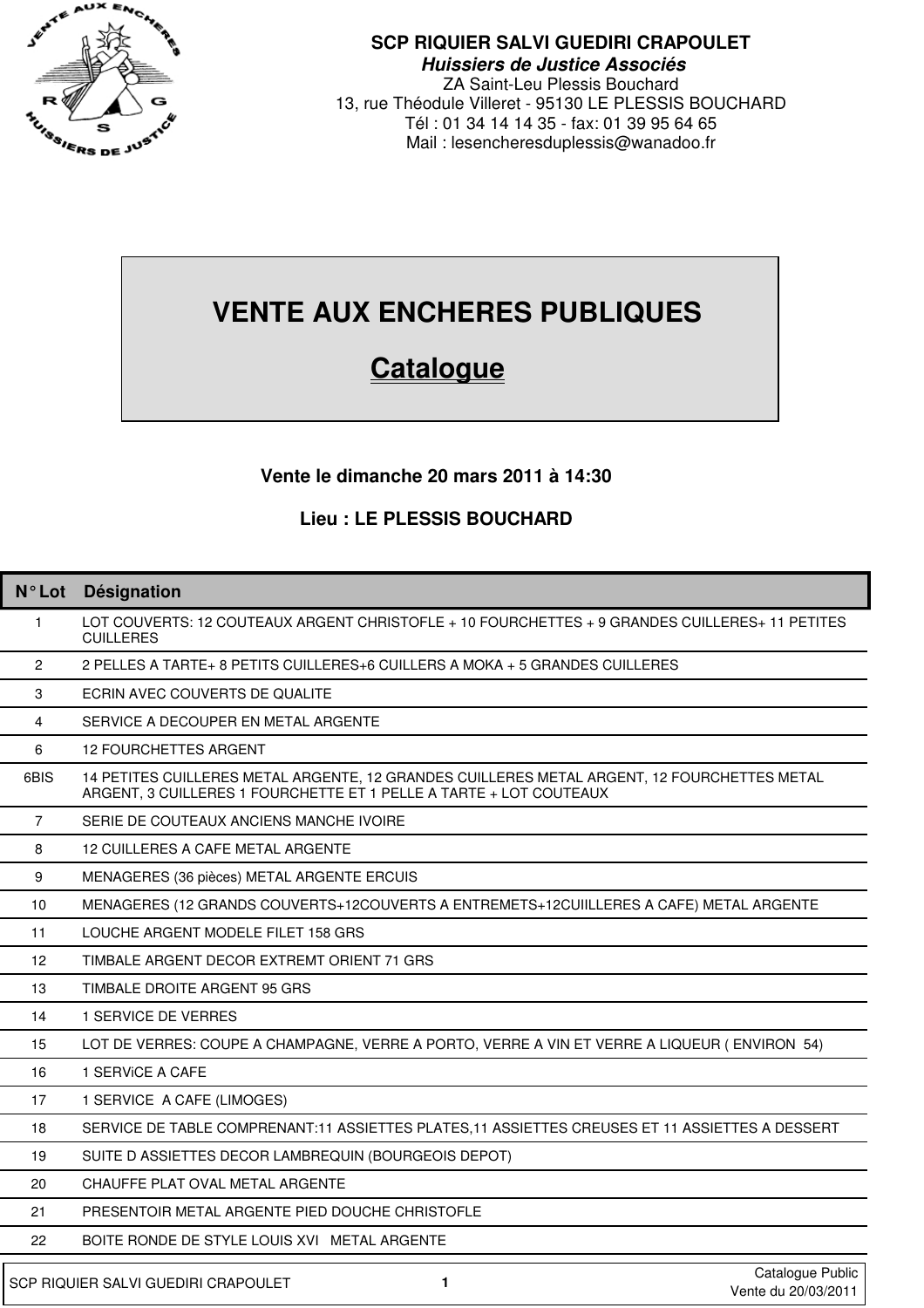

### **SCP RIQUIER SALVI GUEDIRI CRAPOULET Huissiers de Justice Associés**

ZA Saint-Leu Plessis Bouchard 13, rue Théodule Villeret - 95130 LE PLESSIS BOUCHARD Tél : 01 34 14 14 35 - fax: 01 39 95 64 65 Mail : lesencheresduplessis@wanadoo.fr

# **VENTE AUX ENCHERES PUBLIQUES**

## **Catalogue**

### **Vente le dimanche 20 mars 2011 à 14:30**

#### **Lieu : LE PLESSIS BOUCHARD**

| $N^{\circ}$ Lot   | Désignation                                                                                                                                                       |
|-------------------|-------------------------------------------------------------------------------------------------------------------------------------------------------------------|
| 1.                | LOT COUVERTS: 12 COUTEAUX ARGENT CHRISTOFLE + 10 FOURCHETTES + 9 GRANDES CUILLERES+ 11 PETITES<br><b>CUILLERES</b>                                                |
| $\overline{2}$    | 2 PELLES A TARTE+ 8 PETITS CUILLERES+6 CUILLERS A MOKA + 5 GRANDES CUILLERES                                                                                      |
| 3                 | ECRIN AVEC COUVERTS DE QUALITE                                                                                                                                    |
| 4                 | SERVICE A DECOUPER EN METAL ARGENTE                                                                                                                               |
| 6                 | <b>12 FOURCHETTES ARGENT</b>                                                                                                                                      |
| 6BIS              | 14 PETITES CUILLERES METAL ARGENTE, 12 GRANDES CUILLERES METAL ARGENT, 12 FOURCHETTES METAL<br>ARGENT, 3 CUILLERES 1 FOURCHETTE ET 1 PELLE A TARTE + LOT COUTEAUX |
| $\overline{7}$    | SERIE DE COUTEAUX ANCIENS MANCHE IVOIRE                                                                                                                           |
| 8                 | 12 CUILLERES A CAFE METAL ARGENTE                                                                                                                                 |
| 9                 | MENAGERES (36 pièces) METAL ARGENTE ERCUIS                                                                                                                        |
| 10                | MENAGERES (12 GRANDS COUVERTS+12COUVERTS A ENTREMETS+12CUIILLERES A CAFE) METAL ARGENTE                                                                           |
| 11                | LOUCHE ARGENT MODELE FILET 158 GRS                                                                                                                                |
| $12 \overline{ }$ | TIMBALE ARGENT DECOR EXTREMT ORIENT 71 GRS                                                                                                                        |
| 13                | TIMBALE DROITE ARGENT 95 GRS                                                                                                                                      |
| 14                | 1 SERVICE DE VERRES                                                                                                                                               |
| 15                | LOT DE VERRES: COUPE A CHAMPAGNE, VERRE A PORTO, VERRE A VIN ET VERRE A LIQUEUR (ENVIRON 54)                                                                      |
| 16                | 1 SERVICE A CAFE                                                                                                                                                  |
| 17                | 1 SERVICE A CAFE (LIMOGES)                                                                                                                                        |
| 18                | SERVICE DE TABLE COMPRENANT:11 ASSIETTES PLATES, 11 ASSIETTES CREUSES ET 11 ASSIETTES A DESSERT                                                                   |
| 19                | SUITE D ASSIETTES DECOR LAMBREQUIN (BOURGEOIS DEPOT)                                                                                                              |
| 20                | CHAUFFE PLAT OVAL METAL ARGENTE                                                                                                                                   |
| 21                | PRESENTOIR METAL ARGENTE PIED DOUCHE CHRISTOFLE                                                                                                                   |
| 22                | BOITE RONDE DE STYLE LOUIS XVI METAL ARGENTE                                                                                                                      |
|                   | Catalogue Public<br>SCP RIQUIER SALVI GUEDIRI CRAPOULET<br>1<br>Vente du 20/03/2011                                                                               |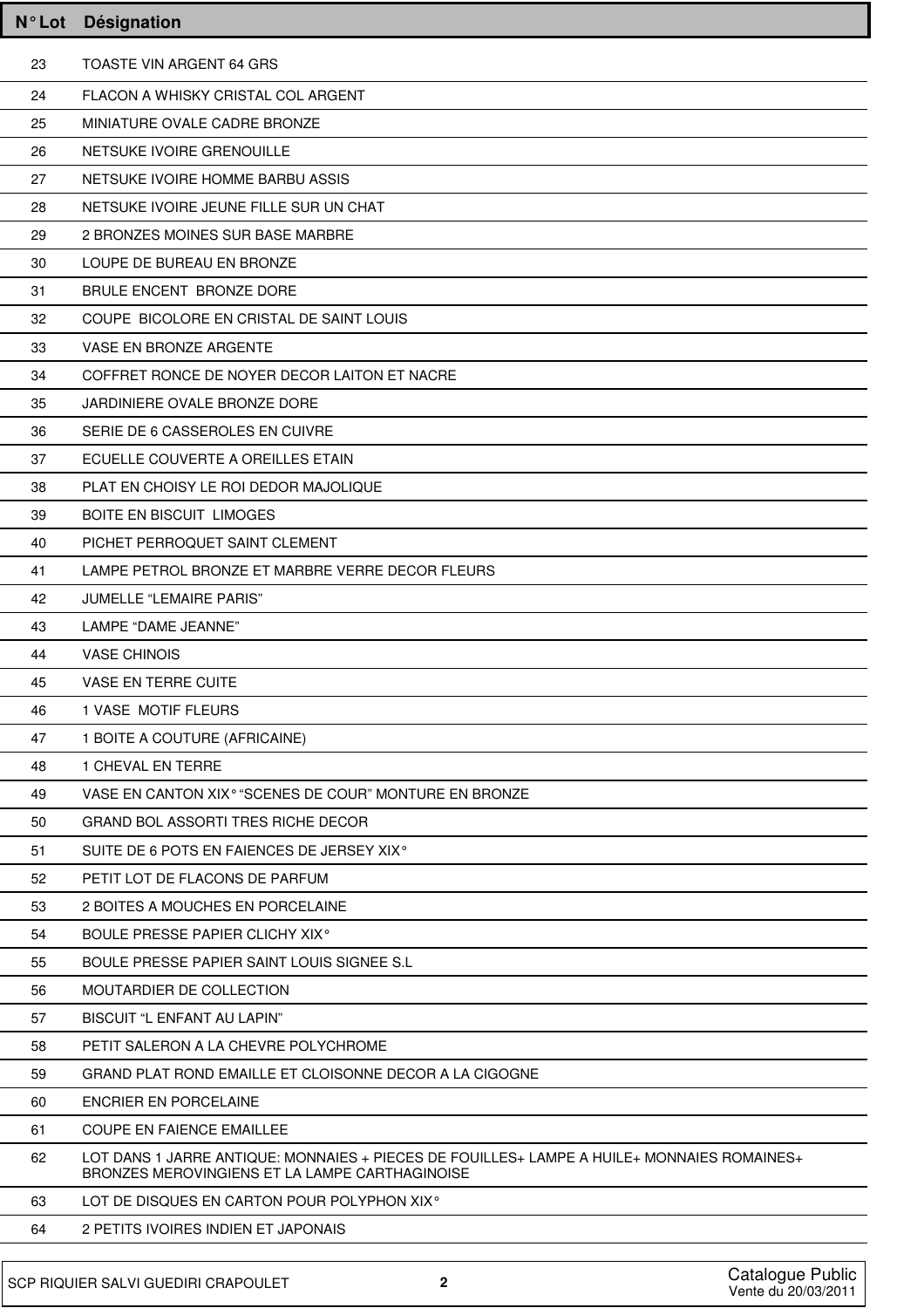| $N^{\circ}$ Lot | <b>Désignation</b>                                                                                                                              |
|-----------------|-------------------------------------------------------------------------------------------------------------------------------------------------|
| 23              | <b>TOASTE VIN ARGENT 64 GRS</b>                                                                                                                 |
| 24              | FLACON A WHISKY CRISTAL COL ARGENT                                                                                                              |
| 25              | MINIATURE OVALE CADRE BRONZE                                                                                                                    |
| 26              | NETSUKE IVOIRE GRENOUILLE                                                                                                                       |
| 27              | NETSUKE IVOIRE HOMME BARBU ASSIS                                                                                                                |
| 28              | NETSUKE IVOIRE JEUNE FILLE SUR UN CHAT                                                                                                          |
| 29              | 2 BRONZES MOINES SUR BASE MARBRE                                                                                                                |
| 30              | LOUPE DE BUREAU EN BRONZE                                                                                                                       |
| 31              | BRULE ENCENT BRONZE DORE                                                                                                                        |
| 32              | COUPE BICOLORE EN CRISTAL DE SAINT LOUIS                                                                                                        |
| 33              | <b>VASE EN BRONZE ARGENTE</b>                                                                                                                   |
| 34              | COFFRET RONCE DE NOYER DECOR LAITON ET NACRE                                                                                                    |
| 35              | JARDINIERE OVALE BRONZE DORE                                                                                                                    |
| 36              | SERIE DE 6 CASSEROLES EN CUIVRE                                                                                                                 |
| 37              | ECUELLE COUVERTE A OREILLES ETAIN                                                                                                               |
| 38              | PLAT EN CHOISY LE ROI DEDOR MAJOLIQUE                                                                                                           |
| 39              | <b>BOITE EN BISCUIT LIMOGES</b>                                                                                                                 |
| 40              | PICHET PERROQUET SAINT CLEMENT                                                                                                                  |
| 41              | LAMPE PETROL BRONZE ET MARBRE VERRE DECOR FLEURS                                                                                                |
| 42              | <b>JUMELLE "LEMAIRE PARIS"</b>                                                                                                                  |
| 43              | LAMPE "DAME JEANNE"                                                                                                                             |
| 44              | <b>VASE CHINOIS</b>                                                                                                                             |
| 45              | <b>VASE EN TERRE CUITE</b>                                                                                                                      |
| 46              | 1 VASE MOTIF FLEURS                                                                                                                             |
| 47              | 1 BOITE A COUTURE (AFRICAINE)                                                                                                                   |
| 48              | 1 CHEVAL EN TERRE                                                                                                                               |
| 49              | VASE EN CANTON XIX <sup>°</sup> "SCENES DE COUR" MONTURE EN BRONZE                                                                              |
| 50              | <b>GRAND BOL ASSORTI TRES RICHE DECOR</b>                                                                                                       |
| 51              | SUITE DE 6 POTS EN FAIENCES DE JERSEY XIX <sup>°</sup>                                                                                          |
| 52              | PETIT LOT DE FLACONS DE PARFUM                                                                                                                  |
| 53              | 2 BOITES A MOUCHES EN PORCELAINE                                                                                                                |
| 54              | BOULE PRESSE PAPIER CLICHY XIX <sup>°</sup>                                                                                                     |
| 55              | BOULE PRESSE PAPIER SAINT LOUIS SIGNEE S.L                                                                                                      |
| 56              | MOUTARDIER DE COLLECTION                                                                                                                        |
| 57              | <b>BISCUIT "L ENFANT AU LAPIN"</b>                                                                                                              |
| 58              | PETIT SALERON A LA CHEVRE POLYCHROME                                                                                                            |
| 59              | GRAND PLAT ROND EMAILLE ET CLOISONNE DECOR A LA CIGOGNE                                                                                         |
| 60              | ENCRIER EN PORCELAINE                                                                                                                           |
| 61              | <b>COUPE EN FAIENCE EMAILLEE</b>                                                                                                                |
| 62              | LOT DANS 1 JARRE ANTIQUE: MONNAIES + PIECES DE FOUILLES + LAMPE A HUILE + MONNAIES ROMAINES +<br>BRONZES MEROVINGIENS ET LA LAMPE CARTHAGINOISE |
| 63              | LOT DE DISQUES EN CARTON POUR POLYPHON XIX <sup>°</sup>                                                                                         |
| 64              | 2 PETITS IVOIRES INDIEN ET JAPONAIS                                                                                                             |
|                 |                                                                                                                                                 |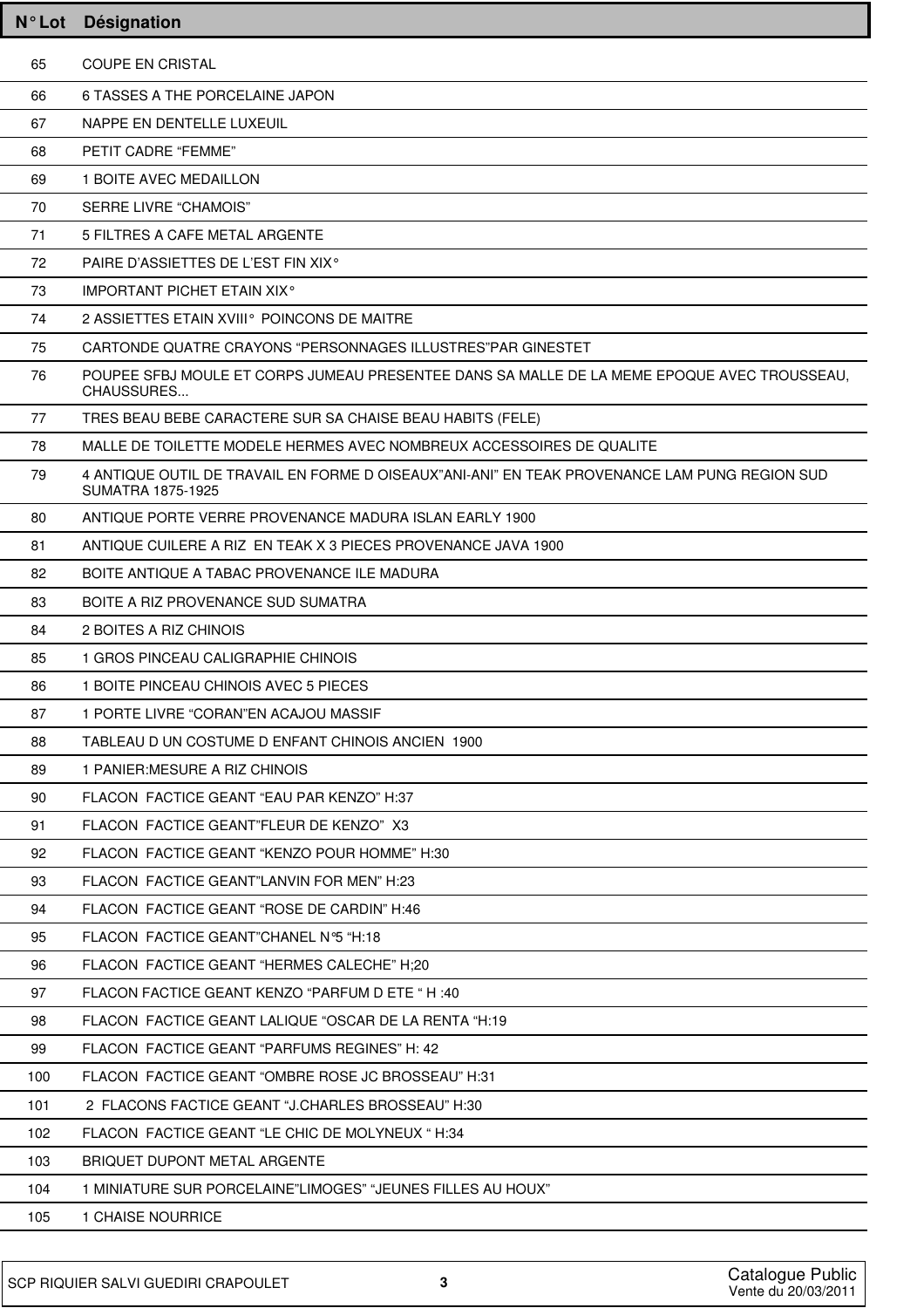| $N^{\circ}$ Lot | Désignation                                                                                                        |
|-----------------|--------------------------------------------------------------------------------------------------------------------|
| 65              | <b>COUPE EN CRISTAL</b>                                                                                            |
| 66              | 6 TASSES A THE PORCELAINE JAPON                                                                                    |
| 67              | NAPPE EN DENTELLE LUXEUIL                                                                                          |
| 68              | PETIT CADRE "FEMME"                                                                                                |
| 69              | 1 BOITE AVEC MEDAILLON                                                                                             |
| 70              | <b>SERRE LIVRE "CHAMOIS"</b>                                                                                       |
| 71              | 5 FILTRES A CAFE METAL ARGENTE                                                                                     |
| 72              | PAIRE D'ASSIETTES DE L'EST FIN XIX <sup>°</sup>                                                                    |
| 73              | <b>IMPORTANT PICHET ETAIN XIX<sup>°</sup></b>                                                                      |
| 74              | 2 ASSIETTES ETAIN XVIII <sup>°</sup> POINCONS DE MAITRE                                                            |
| 75              | CARTONDE QUATRE CRAYONS "PERSONNAGES ILLUSTRES" PAR GINESTET                                                       |
| 76              | POUPEE SFBJ MOULE ET CORPS JUMEAU PRESENTEE DANS SA MALLE DE LA MEME EPOQUE AVEC TROUSSEAU,<br>CHAUSSURES          |
| 77              | TRES BEAU BEBE CARACTERE SUR SA CHAISE BEAU HABITS (FELE)                                                          |
| 78              | MALLE DE TOILETTE MODELE HERMES AVEC NOMBREUX ACCESSOIRES DE QUALITE                                               |
| 79              | 4 ANTIQUE OUTIL DE TRAVAIL EN FORME D OISEAUX"ANI-ANI" EN TEAK PROVENANCE LAM PUNG REGION SUD<br>SUMATRA 1875-1925 |
| 80              | ANTIQUE PORTE VERRE PROVENANCE MADURA ISLAN EARLY 1900                                                             |
| 81              | ANTIQUE CUILERE A RIZ EN TEAK X 3 PIECES PROVENANCE JAVA 1900                                                      |
| 82              | BOITE ANTIQUE A TABAC PROVENANCE ILE MADURA                                                                        |
| 83              | BOITE A RIZ PROVENANCE SUD SUMATRA                                                                                 |
| 84              | 2 BOITES A RIZ CHINOIS                                                                                             |
| 85              | 1 GROS PINCEAU CALIGRAPHIE CHINOIS                                                                                 |
| 86              | 1 BOITE PINCEAU CHINOIS AVEC 5 PIECES                                                                              |
| 87              | 1 PORTE LIVRE "CORAN"EN ACAJOU MASSIF                                                                              |
| 88              | TABLEAU D UN COSTUME D ENFANT CHINOIS ANCIEN 1900                                                                  |
| 89              | 1 PANIER: MESURE A RIZ CHINOIS                                                                                     |
| 90              | FLACON FACTICE GEANT "EAU PAR KENZO" H:37                                                                          |
| 91              | FLACON FACTICE GEANT"FLEUR DE KENZO" X3                                                                            |
| 92              | FLACON FACTICE GEANT "KENZO POUR HOMME" H:30                                                                       |
| 93              | FLACON FACTICE GEANT"LANVIN FOR MEN" H:23                                                                          |
| 94              | FLACON FACTICE GEANT "ROSE DE CARDIN" H:46                                                                         |
| 95              | FLACON FACTICE GEANT"CHANEL N°5 "H:18                                                                              |
| 96              | FLACON FACTICE GEANT "HERMES CALECHE" H;20                                                                         |
| 97              | FLACON FACTICE GEANT KENZO "PARFUM D ETE " H :40                                                                   |
| 98              | FLACON FACTICE GEANT LALIQUE "OSCAR DE LA RENTA "H:19                                                              |
| 99              | FLACON FACTICE GEANT "PARFUMS REGINES" H: 42                                                                       |
| 100             | FLACON FACTICE GEANT "OMBRE ROSE JC BROSSEAU" H:31                                                                 |
| 101             | 2 FLACONS FACTICE GEANT "J.CHARLES BROSSEAU" H:30                                                                  |
| 102             | FLACON FACTICE GEANT "LE CHIC DE MOLYNEUX "H:34                                                                    |
| 103             | BRIQUET DUPONT METAL ARGENTE                                                                                       |
| 104             | 1 MINIATURE SUR PORCELAINE"LIMOGES" "JEUNES FILLES AU HOUX"                                                        |
| 105             | 1 CHAISE NOURRICE                                                                                                  |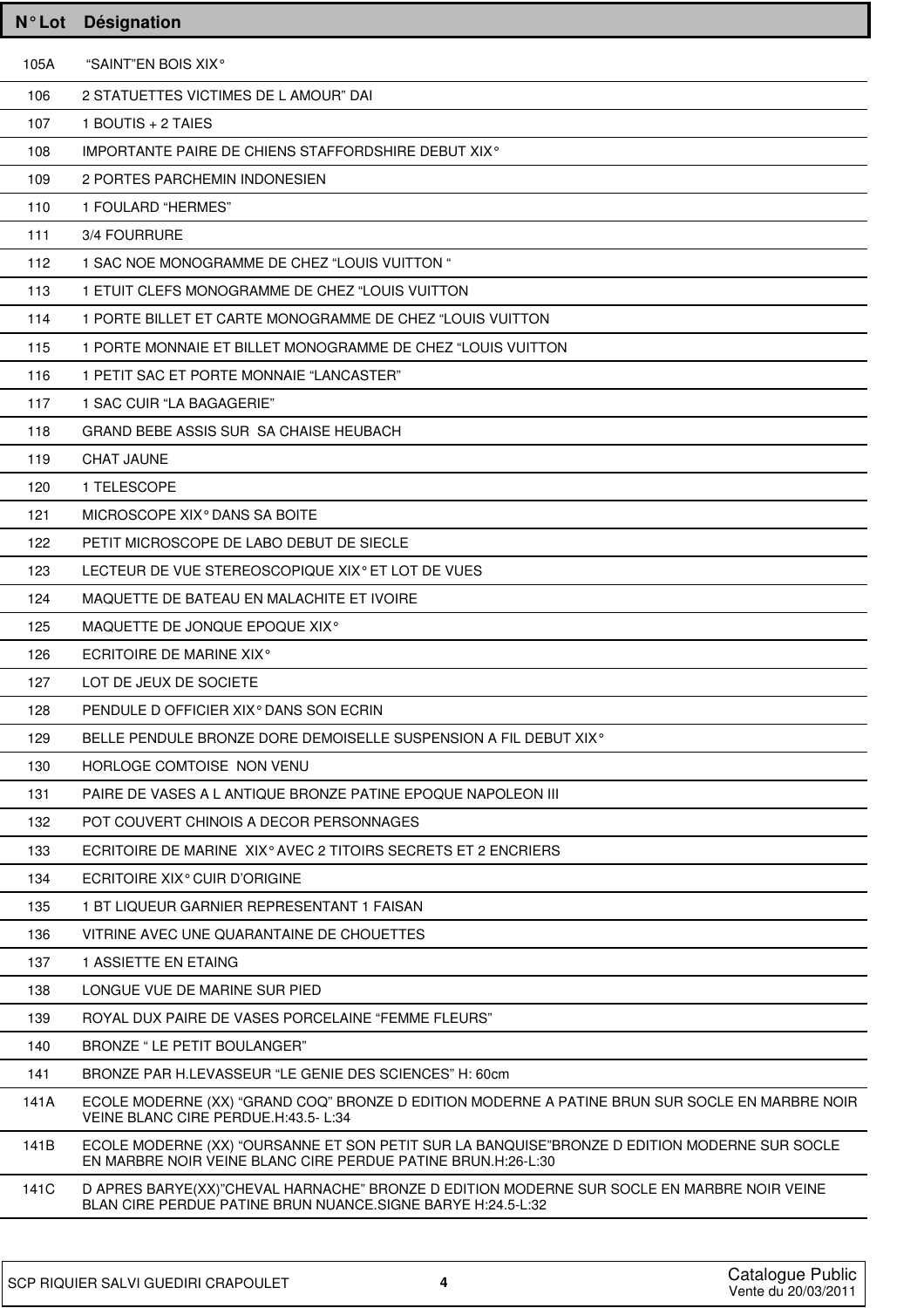| $N^{\circ}$ Lot | <b>Désignation</b>                                                                                                                                           |
|-----------------|--------------------------------------------------------------------------------------------------------------------------------------------------------------|
| 105A            | "SAINT"EN BOIS XIX°                                                                                                                                          |
| 106             | 2 STATUETTES VICTIMES DE L AMOUR" DAI                                                                                                                        |
| 107             | 1 BOUTIS + 2 TAIES                                                                                                                                           |
| 108             | IMPORTANTE PAIRE DE CHIENS STAFFORDSHIRE DEBUT XIX <sup>®</sup>                                                                                              |
| 109             | 2 PORTES PARCHEMIN INDONESIEN                                                                                                                                |
| 110             | 1 FOULARD "HERMES"                                                                                                                                           |
| 111             | 3/4 FOURRURE                                                                                                                                                 |
| 112             | 1 SAC NOE MONOGRAMME DE CHEZ "LOUIS VUITTON "                                                                                                                |
| 113             | 1 ETUIT CLEFS MONOGRAMME DE CHEZ "LOUIS VUITTON                                                                                                              |
| 114             | 1 PORTE BILLET ET CARTE MONOGRAMME DE CHEZ "LOUIS VUITTON                                                                                                    |
| 115             | 1 PORTE MONNAIE ET BILLET MONOGRAMME DE CHEZ "LOUIS VUITTON                                                                                                  |
| 116             | 1 PETIT SAC ET PORTE MONNAIE "LANCASTER"                                                                                                                     |
| 117             | 1 SAC CUIR "LA BAGAGERIE"                                                                                                                                    |
| 118             | GRAND BEBE ASSIS SUR SA CHAISE HEUBACH                                                                                                                       |
| 119             | <b>CHAT JAUNE</b>                                                                                                                                            |
| 120             | 1 TELESCOPE                                                                                                                                                  |
| 121             | MICROSCOPE XIX <sup>°</sup> DANS SA BOITE                                                                                                                    |
| 122             | PETIT MICROSCOPE DE LABO DEBUT DE SIECLE                                                                                                                     |
| 123             | LECTEUR DE VUE STEREOSCOPIQUE XIX <sup>°</sup> ET LOT DE VUES                                                                                                |
| 124             | MAQUETTE DE BATEAU EN MALACHITE ET IVOIRE                                                                                                                    |
| 125             | MAQUETTE DE JONQUE EPOQUE XIX <sup>°</sup>                                                                                                                   |
| 126             | <b>ECRITOIRE DE MARINE XIX<sup>°</sup></b>                                                                                                                   |
| 127             | LOT DE JEUX DE SOCIETE                                                                                                                                       |
| 128             | PENDULE D OFFICIER XIX <sup>°</sup> DANS SON ECRIN                                                                                                           |
| 129             | BELLE PENDULE BRONZE DORE DEMOISELLE SUSPENSION A FIL DEBUT XIX <sup>o</sup>                                                                                 |
| 130             | HORLOGE COMTOISE NON VENU                                                                                                                                    |
| 131             | PAIRE DE VASES A L ANTIQUE BRONZE PATINE EPOQUE NAPOLEON III                                                                                                 |
| 132             | POT COUVERT CHINOIS A DECOR PERSONNAGES                                                                                                                      |
| 133             | ECRITOIRE DE MARINE XIX <sup>°</sup> AVEC 2 TITOIRS SECRETS ET 2 ENCRIERS                                                                                    |
| 134             | ECRITOIRE XIX <sup>°</sup> CUIR D'ORIGINE                                                                                                                    |
| 135             | 1 BT LIQUEUR GARNIER REPRESENTANT 1 FAISAN                                                                                                                   |
| 136             | VITRINE AVEC UNE QUARANTAINE DE CHOUETTES                                                                                                                    |
| 137             | 1 ASSIETTE EN ETAING                                                                                                                                         |
| 138             | LONGUE VUE DE MARINE SUR PIED                                                                                                                                |
| 139             | ROYAL DUX PAIRE DE VASES PORCELAINE "FEMME FLEURS"                                                                                                           |
| 140             | BRONZE " LE PETIT BOULANGER"                                                                                                                                 |
| 141             | BRONZE PAR H.LEVASSEUR "LE GENIE DES SCIENCES" H: 60cm                                                                                                       |
| 141A            | ECOLE MODERNE (XX) "GRAND COQ" BRONZE D EDITION MODERNE A PATINE BRUN SUR SOCLE EN MARBRE NOIR<br>VEINE BLANC CIRE PERDUE.H:43.5-L:34                        |
| 141B            | ECOLE MODERNE (XX) "OURSANNE ET SON PETIT SUR LA BANQUISE"BRONZE D EDITION MODERNE SUR SOCLE<br>EN MARBRE NOIR VEINE BLANC CIRE PERDUE PATINE BRUN.H:26-L:30 |
| 141C            | D APRES BARYE(XX)"CHEVAL HARNACHE" BRONZE D EDITION MODERNE SUR SOCLE EN MARBRE NOIR VEINE<br>BLAN CIRE PERDUE PATINE BRUN NUANCE.SIGNE BARYE H:24.5-L:32    |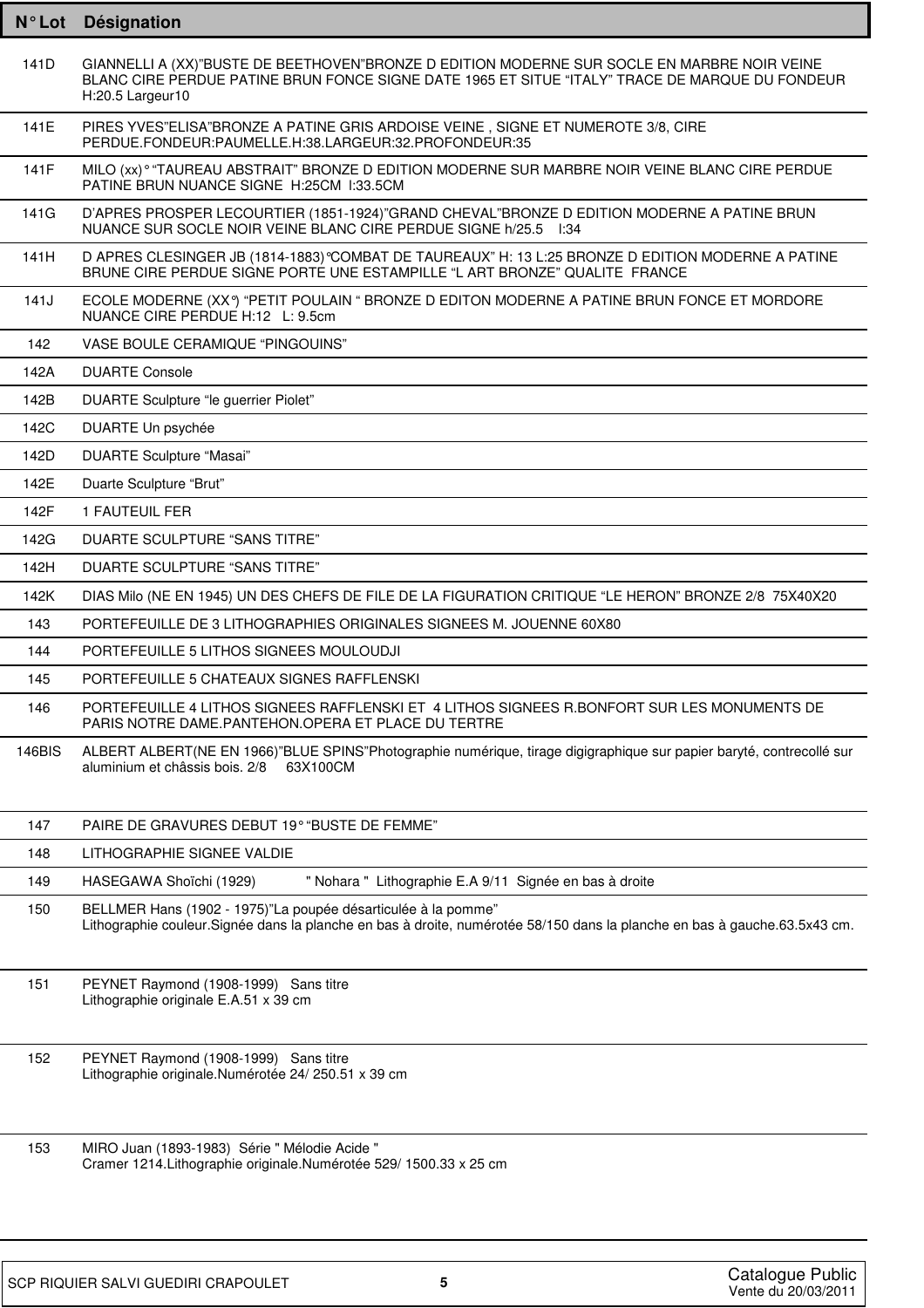| N° Lot | <b>Designation</b>                                                                                                                                                                                                 |
|--------|--------------------------------------------------------------------------------------------------------------------------------------------------------------------------------------------------------------------|
| 141D   | GIANNELLI A (XX)"BUSTE DE BEETHOVEN"BRONZE D EDITION MODERNE SUR SOCLE EN MARBRE NOIR VEINE<br>BLANC CIRE PERDUE PATINE BRUN FONCE SIGNE DATE 1965 ET SITUE "ITALY" TRACE DE MARQUE DU FONDEUR<br>H:20.5 Largeur10 |
| 141E   | PIRES YVES"ELISA"BRONZE A PATINE GRIS ARDOISE VEINE, SIGNE ET NUMEROTE 3/8, CIRE<br>PERDUE.FONDEUR:PAUMELLE.H:38.LARGEUR:32.PROFONDEUR:35                                                                          |
| 141F   | MILO (xx) ° "TAUREAU ABSTRAIT" BRONZE D EDITION MODERNE SUR MARBRE NOIR VEINE BLANC CIRE PERDUE<br>PATINE BRUN NUANCE SIGNE H:25CM 1:33.5CM                                                                        |
| 141G   | D'APRES PROSPER LECOURTIER (1851-1924)"GRAND CHEVAL"BRONZE D EDITION MODERNE A PATINE BRUN<br>NUANCE SUR SOCLE NOIR VEINE BLANC CIRE PERDUE SIGNE h/25.5 1:34                                                      |
| 141H   | D APRES CLESINGER JB (1814-1883) °COMBAT DE TAUREAUX" H: 13 L:25 BRONZE D EDITION MODERNE A PATINE<br>BRUNE CIRE PERDUE SIGNE PORTE UNE ESTAMPILLE "L ART BRONZE" QUALITE FRANCE                                   |
| 141J   | ECOLE MODERNE (XXº) "PETIT POULAIN " BRONZE D EDITON MODERNE A PATINE BRUN FONCE ET MORDORE<br>NUANCE CIRE PERDUE H:12 L: 9.5cm                                                                                    |
| 142    | VASE BOULE CERAMIQUE "PINGOUINS"                                                                                                                                                                                   |
| 142A   | <b>DUARTE Console</b>                                                                                                                                                                                              |
| 142B   | DUARTE Sculpture "le guerrier Piolet"                                                                                                                                                                              |
| 142C   | DUARTE Un psychée                                                                                                                                                                                                  |
| 142D   | <b>DUARTE Sculpture "Masai"</b>                                                                                                                                                                                    |
| 142E   | Duarte Sculpture "Brut"                                                                                                                                                                                            |
| 142F   | 1 FAUTEUIL FER                                                                                                                                                                                                     |
| 142G   | DUARTE SCULPTURE "SANS TITRE"                                                                                                                                                                                      |
| 142H   | DUARTE SCULPTURE "SANS TITRE"                                                                                                                                                                                      |
| 142K   | DIAS Milo (NE EN 1945) UN DES CHEFS DE FILE DE LA FIGURATION CRITIQUE "LE HERON" BRONZE 2/8 75X40X20                                                                                                               |
| 143    | PORTEFEUILLE DE 3 LITHOGRAPHIES ORIGINALES SIGNEES M. JOUENNE 60X80                                                                                                                                                |
| 144    | PORTEFEUILLE 5 LITHOS SIGNEES MOULOUDJI                                                                                                                                                                            |
| 145    | PORTEFEUILLE 5 CHATEAUX SIGNES RAFFLENSKI                                                                                                                                                                          |
| 146    | PORTEFEUILLE 4 LITHOS SIGNEES RAFFLENSKI ET 4 LITHOS SIGNEES R.BONFORT SUR LES MONUMENTS DE<br>PARIS NOTRE DAME.PANTEHON.OPERA ET PLACE DU TERTRE                                                                  |
| 146BIS | ALBERT ALBERT(NE EN 1966)"BLUE SPINS"Photographie numérique, tirage digigraphique sur papier baryté, contrecollé sur<br>aluminium et châssis bois. 2/8<br>63X100CM                                                 |
| 147    | PAIRE DE GRAVURES DEBUT 19° "BUSTE DE FEMME"                                                                                                                                                                       |
| 148    | LITHOGRAPHIE SIGNEE VALDIE                                                                                                                                                                                         |
| 149    | " Nohara " Lithographie E.A 9/11 Signée en bas à droite<br>HASEGAWA Shoïchi (1929)                                                                                                                                 |
| 150    | BELLMER Hans (1902 - 1975)"La poupée désarticulée à la pomme"<br>Lithographie couleur. Signée dans la planche en bas à droite, numérotée 58/150 dans la planche en bas à gauche. 63.5x43 cm.                       |
| 151    | PEYNET Raymond (1908-1999) Sans titre<br>Lithographie originale E.A.51 x 39 cm                                                                                                                                     |
| 152    | PEYNET Raymond (1908-1999) Sans titre<br>Lithographie originale.Numérotée 24/250.51 x 39 cm                                                                                                                        |
| 153    | MIRO Juan (1893-1983) Série " Mélodie Acide "<br>Cramer 1214. Lithographie originale. Numérotée 529/1500.33 x 25 cm                                                                                                |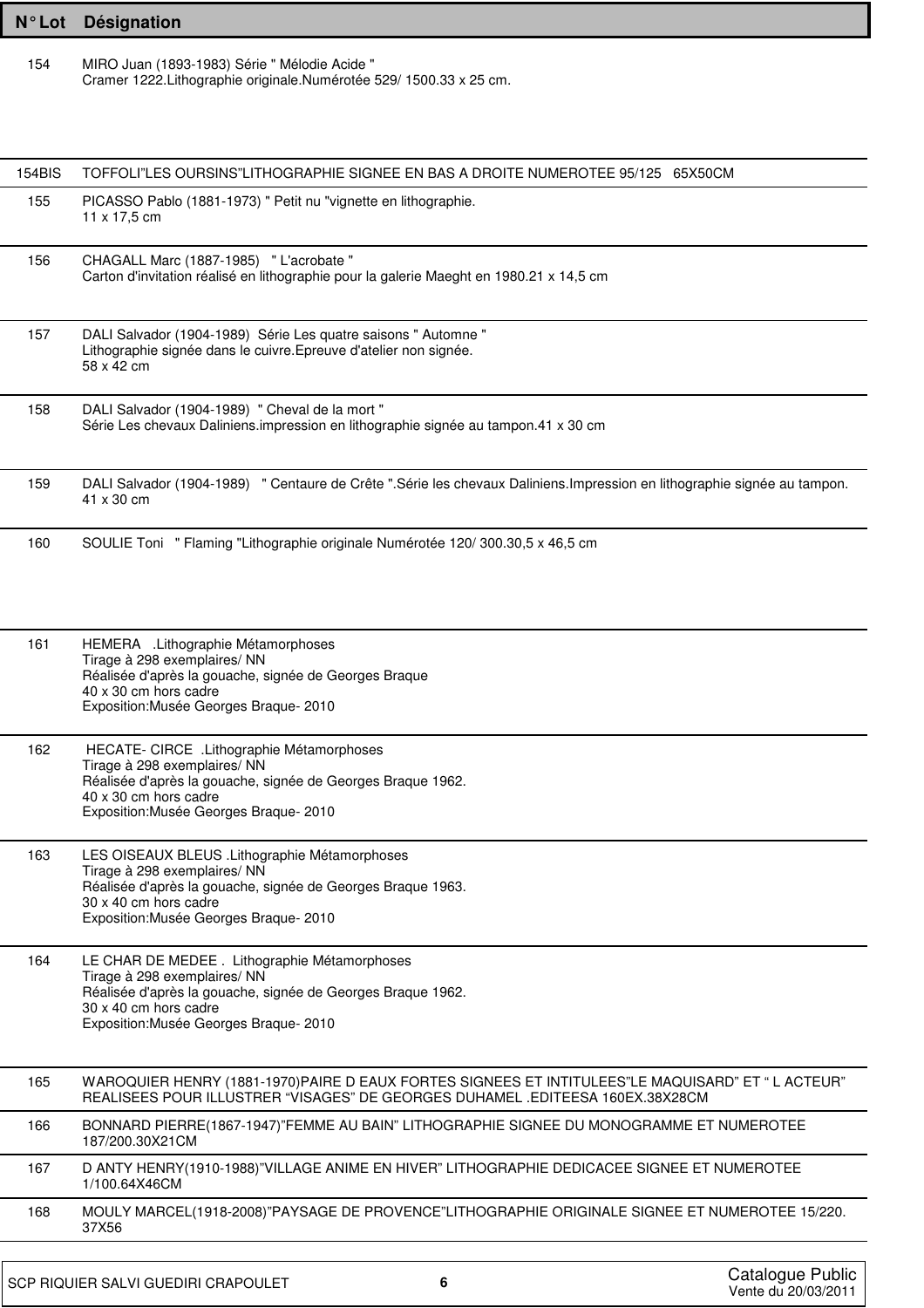| N°Lot r | <b>Désignation</b> |
|---------|--------------------|
|---------|--------------------|

154 MIRO Juan (1893-1983) Série " Mélodie Acide " Cramer 1222.Lithographie originale.Numérotée 529/ 1500.33 x 25 cm.

| 154BIS | TOFFOLI"LES OURSINS"LITHOGRAPHIE SIGNEE EN BAS A DROITE NUMEROTEE 95/125 65X50CM                                                                                                                                 |                                         |
|--------|------------------------------------------------------------------------------------------------------------------------------------------------------------------------------------------------------------------|-----------------------------------------|
| 155    | PICASSO Pablo (1881-1973) " Petit nu "vignette en lithographie.<br>$11 \times 17,5$ cm                                                                                                                           |                                         |
| 156    | CHAGALL Marc (1887-1985) " L'acrobate "<br>Carton d'invitation réalisé en lithographie pour la galerie Maeght en 1980.21 x 14,5 cm                                                                               |                                         |
| 157    | DALI Salvador (1904-1989) Série Les quatre saisons " Automne "<br>Lithographie signée dans le cuivre. Epreuve d'atelier non signée.<br>58 x 42 cm                                                                |                                         |
| 158    | DALI Salvador (1904-1989) " Cheval de la mort "<br>Série Les chevaux Daliniens impression en lithographie signée au tampon.41 x 30 cm                                                                            |                                         |
| 159    | DALI Salvador (1904-1989) " Centaure de Crête ".Série les chevaux Daliniens.Impression en lithographie signée au tampon.<br>41 x 30 cm                                                                           |                                         |
| 160    | SOULIE Toni " Flaming "Lithographie originale Numérotée 120/300.30,5 x 46,5 cm                                                                                                                                   |                                         |
| 161    | HEMERA .Lithographie Métamorphoses<br>Tirage à 298 exemplaires/ NN<br>Réalisée d'après la gouache, signée de Georges Braque<br>40 x 30 cm hors cadre<br>Exposition: Musée Georges Braque- 2010                   |                                         |
| 162    | HECATE- CIRCE .Lithographie Métamorphoses<br>Tirage à 298 exemplaires/ NN<br>Réalisée d'après la gouache, signée de Georges Braque 1962.<br>40 x 30 cm hors cadre<br>Exposition: Musée Georges Braque- 2010      |                                         |
| 163    | LES OISEAUX BLEUS . Lithographie Métamorphoses<br>Tirage à 298 exemplaires/ NN<br>Réalisée d'après la gouache, signée de Georges Braque 1963.<br>30 x 40 cm hors cadre<br>Exposition: Musée Georges Braque- 2010 |                                         |
| 164    | LE CHAR DE MEDEE . Lithographie Métamorphoses<br>Tirage à 298 exemplaires/ NN<br>Réalisée d'après la gouache, signée de Georges Braque 1962.<br>30 x 40 cm hors cadre<br>Exposition: Musée Georges Braque- 2010  |                                         |
| 165    | WAROQUIER HENRY (1881-1970)PAIRE D EAUX FORTES SIGNEES ET INTITULEES"LE MAQUISARD" ET "L ACTEUR"<br>REALISEES POUR ILLUSTRER "VISAGES" DE GEORGES DUHAMEL .EDITEESA 160EX.38X28CM                                |                                         |
| 166    | BONNARD PIERRE(1867-1947)"FEMME AU BAIN" LITHOGRAPHIE SIGNEE DU MONOGRAMME ET NUMEROTEE<br>187/200.30X21CM                                                                                                       |                                         |
| 167    | D ANTY HENRY(1910-1988)"VILLAGE ANIME EN HIVER" LITHOGRAPHIE DEDICACEE SIGNEE ET NUMEROTEE<br>1/100.64X46CM                                                                                                      |                                         |
| 168    | MOULY MARCEL(1918-2008)"PAYSAGE DE PROVENCE"LITHOGRAPHIE ORIGINALE SIGNEE ET NUMEROTEE 15/220.<br>37X56                                                                                                          |                                         |
|        | 6<br>SCP RIQUIER SALVI GUEDIRI CRAPOULET                                                                                                                                                                         | Catalogue Public<br>Vente du 20/03/2011 |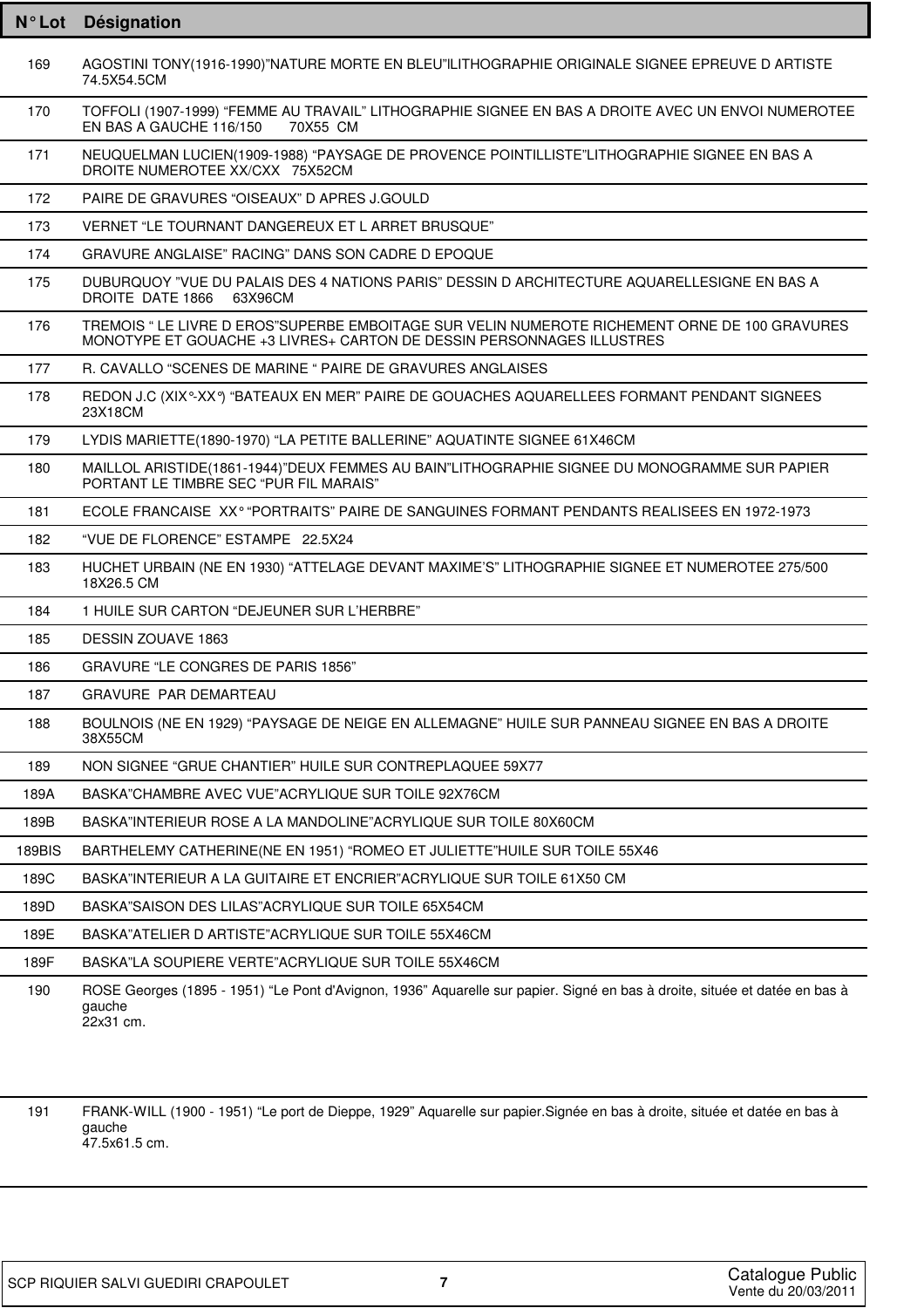| $N^{\circ}$ Lot | Désignation                                                                                                                                                            |
|-----------------|------------------------------------------------------------------------------------------------------------------------------------------------------------------------|
| 169             | AGOSTINI TONY(1916-1990)"NATURE MORTE EN BLEU"ILITHOGRAPHIE ORIGINALE SIGNEE EPREUVE D ARTISTE<br>74.5X54.5CM                                                          |
| 170             | TOFFOLI (1907-1999) "FEMME AU TRAVAIL" LITHOGRAPHIE SIGNEE EN BAS A DROITE AVEC UN ENVOI NUMEROTEE<br>EN BAS A GAUCHE 116/150<br>70X55 CM                              |
| 171             | NEUQUELMAN LUCIEN(1909-1988) "PAYSAGE DE PROVENCE POINTILLISTE"LITHOGRAPHIE SIGNEE EN BAS A<br>DROITE NUMEROTEE XX/CXX 75X52CM                                         |
| 172             | PAIRE DE GRAVURES "OISEAUX" D APRES J.GOULD                                                                                                                            |
| 173             | VERNET "LE TOURNANT DANGEREUX ET L ARRET BRUSQUE"                                                                                                                      |
| 174             | GRAVURE ANGLAISE" RACING" DANS SON CADRE D EPOQUE                                                                                                                      |
| 175             | DUBURQUOY "VUE DU PALAIS DES 4 NATIONS PARIS" DESSIN D ARCHITECTURE AQUARELLESIGNE EN BAS A<br>DROITE DATE 1866 63X96CM                                                |
| 176             | TREMOIS " LE LIVRE D EROS"SUPERBE EMBOITAGE SUR VELIN NUMEROTE RICHEMENT ORNE DE 100 GRAVURES<br>MONOTYPE ET GOUACHE +3 LIVRES+ CARTON DE DESSIN PERSONNAGES ILLUSTRES |
| 177             | R. CAVALLO "SCENES DE MARINE " PAIRE DE GRAVURES ANGLAISES                                                                                                             |
| 178             | REDON J.C (XIX°-XX°) "BATEAUX EN MER" PAIRE DE GOUACHES AQUARELLEES FORMANT PENDANT SIGNEES<br>23X18CM                                                                 |
| 179             | LYDIS MARIETTE(1890-1970) "LA PETITE BALLERINE" AQUATINTE SIGNEE 61X46CM                                                                                               |
| 180             | MAILLOL ARISTIDE(1861-1944)"DEUX FEMMES AU BAIN"LITHOGRAPHIE SIGNEE DU MONOGRAMME SUR PAPIER<br>PORTANT LE TIMBRE SEC "PUR FIL MARAIS"                                 |
| 181             | ECOLE FRANCAISE XX <sup>o</sup> "PORTRAITS" PAIRE DE SANGUINES FORMANT PENDANTS REALISEES EN 1972-1973                                                                 |
| 182             | "VUE DE FLORENCE" ESTAMPE 22.5X24                                                                                                                                      |
| 183             | HUCHET URBAIN (NE EN 1930) "ATTELAGE DEVANT MAXIME'S" LITHOGRAPHIE SIGNEE ET NUMEROTEE 275/500<br>18X26.5 CM                                                           |
| 184             | 1 HUILE SUR CARTON "DEJEUNER SUR L'HERBRE"                                                                                                                             |
| 185             | <b>DESSIN ZOUAVE 1863</b>                                                                                                                                              |
| 186             | GRAVURE "LE CONGRES DE PARIS 1856"                                                                                                                                     |
| 187             | GRAVURE PAR DEMARTEAU                                                                                                                                                  |
| 188             | BOULNOIS (NE EN 1929) "PAYSAGE DE NEIGE EN ALLEMAGNE" HUILE SUR PANNEAU SIGNEE EN BAS A DROITE<br>38X55CM                                                              |
| 189             | NON SIGNEE "GRUE CHANTIER" HUILE SUR CONTREPLAQUEE 59X77                                                                                                               |
| 189A            | BASKA"CHAMBRE AVEC VUE"ACRYLIQUE SUR TOILE 92X76CM                                                                                                                     |
| 189B            | BASKA"INTERIEUR ROSE A LA MANDOLINE"ACRYLIQUE SUR TOILE 80X60CM                                                                                                        |
| 189BIS          | BARTHELEMY CATHERINE(NE EN 1951) "ROMEO ET JULIETTE" HUILE SUR TOILE 55X46                                                                                             |
| 189C            | BASKA"INTERIEUR A LA GUITAIRE ET ENCRIER"ACRYLIQUE SUR TOILE 61X50 CM                                                                                                  |
| 189D            | BASKA"SAISON DES LILAS"ACRYLIQUE SUR TOILE 65X54CM                                                                                                                     |
| 189E            | BASKA"ATELIER D ARTISTE"ACRYLIQUE SUR TOILE 55X46CM                                                                                                                    |
| 189F            | BASKA"LA SOUPIERE VERTE"ACRYLIQUE SUR TOILE 55X46CM                                                                                                                    |
| 190             | ROSE Georges (1895 - 1951) "Le Pont d'Avignon, 1936" Aquarelle sur papier. Signé en bas à droite, située et datée en bas à<br>gauche<br>22x31 cm.                      |

FRANK-WILL (1900 - 1951) "Le port de Dieppe, 1929" Aquarelle sur papier.Signée en bas à droite, située et datée en bas à 191 gauche<br> $47.5x61.5$  cm.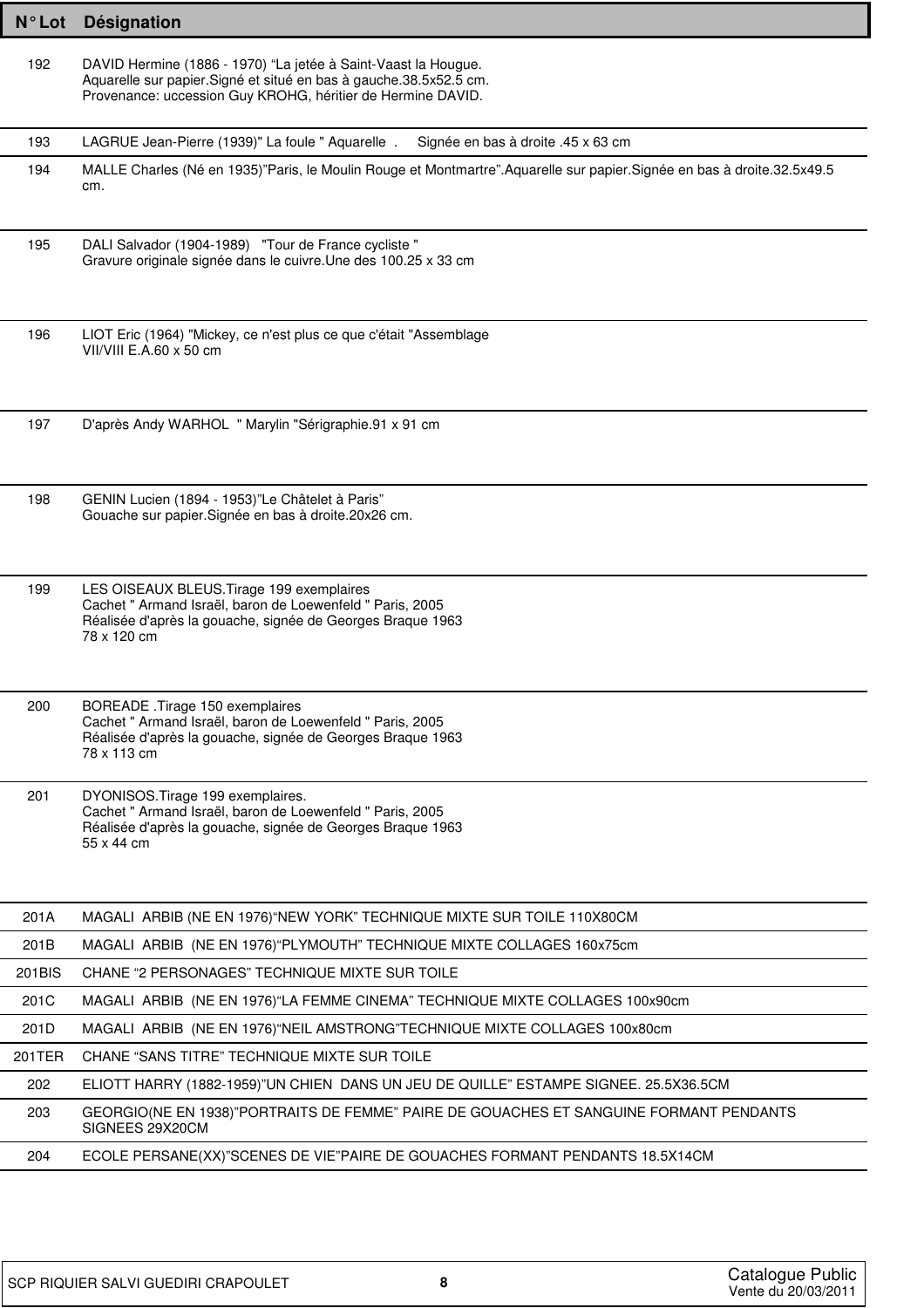| $N^{\circ}$ Lot | Désignation                                                                                                                                                                                          |
|-----------------|------------------------------------------------------------------------------------------------------------------------------------------------------------------------------------------------------|
| 192             | DAVID Hermine (1886 - 1970) "La jetée à Saint-Vaast la Hougue.<br>Aquarelle sur papier. Signé et situé en bas à gauche. 38.5x52.5 cm.<br>Provenance: uccession Guy KROHG, héritier de Hermine DAVID. |
| 193             | LAGRUE Jean-Pierre (1939)" La foule " Aquarelle.<br>Signée en bas à droite .45 x 63 cm                                                                                                               |
| 194             | MALLE Charles (Né en 1935)"Paris, le Moulin Rouge et Montmartre".Aquarelle sur papier.Signée en bas à droite.32.5x49.5<br>cm.                                                                        |
| 195             | DALI Salvador (1904-1989) "Tour de France cycliste"<br>Gravure originale signée dans le cuivre. Une des 100.25 x 33 cm                                                                               |
| 196             | LIOT Eric (1964) "Mickey, ce n'est plus ce que c'était "Assemblage<br>VII/VIII $E.A.60 \times 50$ cm                                                                                                 |
| 197             | D'après Andy WARHOL " Marylin "Sérigraphie.91 x 91 cm                                                                                                                                                |
| 198             | GENIN Lucien (1894 - 1953)"Le Châtelet à Paris"<br>Gouache sur papier. Signée en bas à droite. 20x26 cm.                                                                                             |
| 199             | LES OISEAUX BLEUS. Tirage 199 exemplaires<br>Cachet " Armand Israël, baron de Loewenfeld " Paris, 2005<br>Réalisée d'après la gouache, signée de Georges Braque 1963<br>78 x 120 cm                  |
| 200             | BOREADE .Tirage 150 exemplaires<br>Cachet " Armand Israël, baron de Loewenfeld " Paris, 2005<br>Réalisée d'après la gouache, signée de Georges Braque 1963<br>78 x 113 cm                            |
| 201             | DYONISOS. Tirage 199 exemplaires.<br>Cachet " Armand Israël, baron de Loewenfeld " Paris, 2005<br>Réalisée d'après la gouache, signée de Georges Braque 1963<br>55 x 44 cm                           |
| 201A            | MAGALI ARBIB (NE EN 1976) "NEW YORK" TECHNIQUE MIXTE SUR TOILE 110X80CM                                                                                                                              |
| 201B            | MAGALI ARBIB (NE EN 1976) "PLYMOUTH" TECHNIQUE MIXTE COLLAGES 160x75cm                                                                                                                               |
| 201BIS          | CHANE "2 PERSONAGES" TECHNIQUE MIXTE SUR TOILE                                                                                                                                                       |
| 201C            | MAGALI ARBIB (NE EN 1976) "LA FEMME CINEMA" TECHNIQUE MIXTE COLLAGES 100x90cm                                                                                                                        |
| 201D            | MAGALI ARBIB (NE EN 1976) "NEIL AMSTRONG"TECHNIQUE MIXTE COLLAGES 100x80cm                                                                                                                           |
| 201TER          | CHANE "SANS TITRE" TECHNIQUE MIXTE SUR TOILE                                                                                                                                                         |
| 202             | ELIOTT HARRY (1882-1959)"UN CHIEN DANS UN JEU DE QUILLE" ESTAMPE SIGNEE. 25.5X36.5CM                                                                                                                 |
| 203             | GEORGIO(NE EN 1938)"PORTRAITS DE FEMME" PAIRE DE GOUACHES ET SANGUINE FORMANT PENDANTS<br>SIGNEES 29X20CM                                                                                            |
| 204             | ECOLE PERSANE(XX)"SCENES DE VIE"PAIRE DE GOUACHES FORMANT PENDANTS 18.5X14CM                                                                                                                         |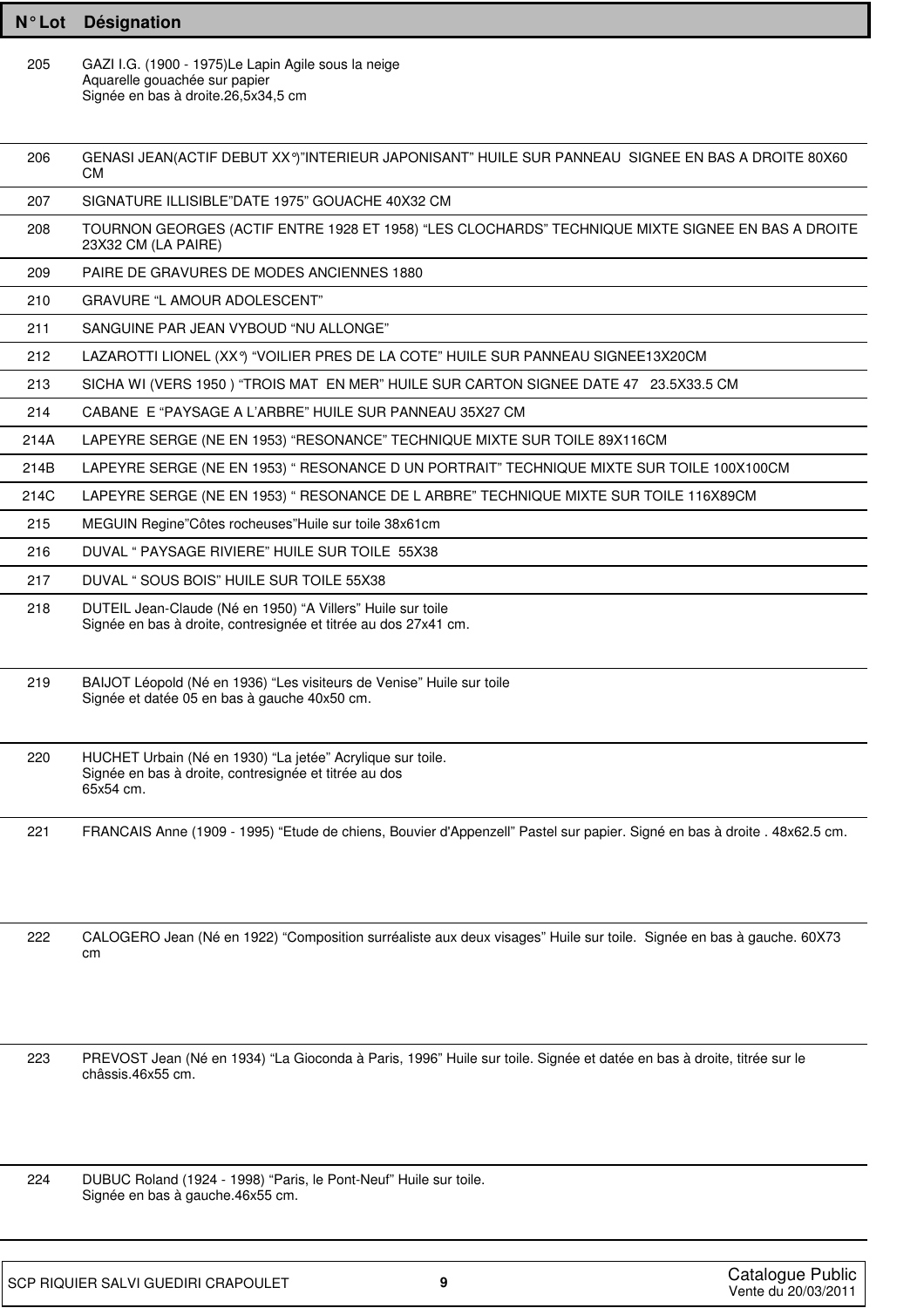| N°Lot Désignation |
|-------------------|
|                   |

205 GAZI I.G. (1900 - 1975)Le Lapin Agile sous la neige Aquarelle gouachée sur papier Signée en bas à droite.26,5x34,5 cm

| 206  | GENASI JEAN(ACTIF DEBUT XXº)"INTERIEUR JAPONISANT" HUILE SUR PANNEAU SIGNEE EN BAS A DROITE 80X60<br>CМ                                    |
|------|--------------------------------------------------------------------------------------------------------------------------------------------|
| 207  | SIGNATURE ILLISIBLE"DATE 1975" GOUACHE 40X32 CM                                                                                            |
| 208  | TOURNON GEORGES (ACTIF ENTRE 1928 ET 1958) "LES CLOCHARDS" TECHNIQUE MIXTE SIGNEE EN BAS A DROITE<br>23X32 CM (LA PAIRE)                   |
| 209  | PAIRE DE GRAVURES DE MODES ANCIENNES 1880                                                                                                  |
| 210  | GRAVURE "L AMOUR ADOLESCENT"                                                                                                               |
| 211  | SANGUINE PAR JEAN VYBOUD "NU ALLONGE"                                                                                                      |
| 212  | LAZAROTTI LIONEL (XXº) "VOILIER PRES DE LA COTE" HUILE SUR PANNEAU SIGNEE13X20CM                                                           |
| 213  | SICHA WI (VERS 1950) "TROIS MAT EN MER" HUILE SUR CARTON SIGNEE DATE 47 23.5X33.5 CM                                                       |
| 214  | CABANE E "PAYSAGE A L'ARBRE" HUILE SUR PANNEAU 35X27 CM                                                                                    |
| 214A | LAPEYRE SERGE (NE EN 1953) "RESONANCE" TECHNIQUE MIXTE SUR TOILE 89X116CM                                                                  |
| 214B | LAPEYRE SERGE (NE EN 1953) " RESONANCE D UN PORTRAIT" TECHNIQUE MIXTE SUR TOILE 100X100CM                                                  |
| 214C | LAPEYRE SERGE (NE EN 1953) " RESONANCE DE L ARBRE" TECHNIQUE MIXTE SUR TOILE 116X89CM                                                      |
| 215  | MEGUIN Regine"Côtes rocheuses"Huile sur toile 38x61cm                                                                                      |
| 216  | DUVAL " PAYSAGE RIVIERE" HUILE SUR TOILE 55X38                                                                                             |
| 217  | DUVAL "SOUS BOIS" HUILE SUR TOILE 55X38                                                                                                    |
| 218  | DUTEIL Jean-Claude (Né en 1950) "A Villers" Huile sur toile<br>Signée en bas à droite, contresignée et titrée au dos 27x41 cm.             |
| 219  | BAIJOT Léopold (Né en 1936) "Les visiteurs de Venise" Huile sur toile<br>Signée et datée 05 en bas à gauche 40x50 cm.                      |
| 220  | HUCHET Urbain (Né en 1930) "La jetée" Acrylique sur toile.<br>Signée en bas à droite, contresignée et titrée au dos<br>65x54 cm.           |
| 221  | FRANCAIS Anne (1909 - 1995) "Etude de chiens, Bouvier d'Appenzell" Pastel sur papier. Signé en bas à droite . 48x62.5 cm.                  |
| 222  | CALOGERO Jean (Né en 1922) "Composition surréaliste aux deux visages" Huile sur toile. Signée en bas à gauche. 60X73<br>cm                 |
| 223  | PREVOST Jean (Né en 1934) "La Gioconda à Paris, 1996" Huile sur toile. Signée et datée en bas à droite, titrée sur le<br>châssis.46x55 cm. |
| 224  | DUBUC Roland (1924 - 1998) "Paris, le Pont-Neuf" Huile sur toile.<br>Signée en bas à gauche.46x55 cm.                                      |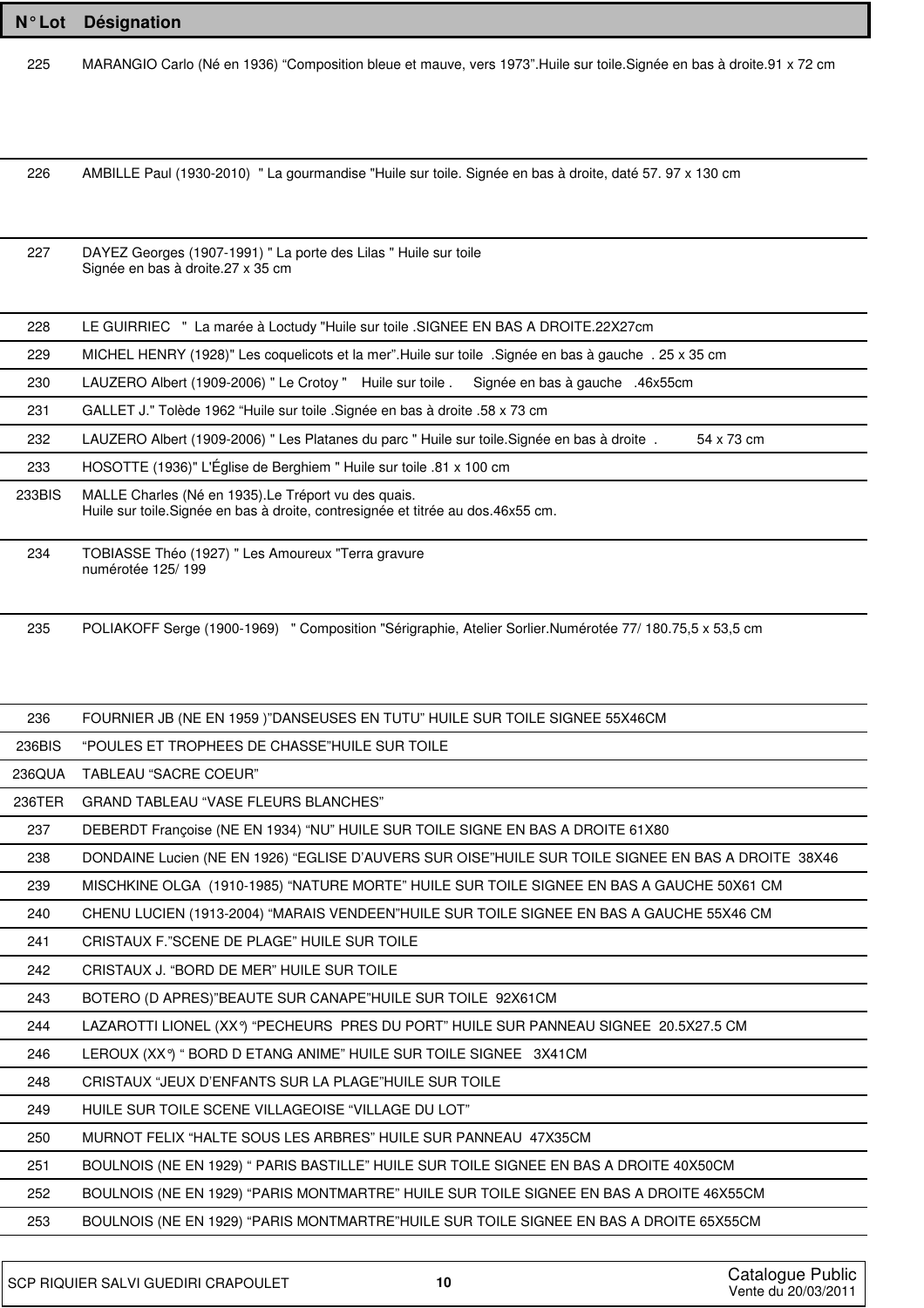| <b>N°Lot</b> | Désignation                                                                                                                               |
|--------------|-------------------------------------------------------------------------------------------------------------------------------------------|
| 225          | MARANGIO Carlo (Né en 1936) "Composition bleue et mauve, vers 1973". Huile sur toile. Signée en bas à droite. 91 x 72 cm                  |
|              |                                                                                                                                           |
|              |                                                                                                                                           |
|              |                                                                                                                                           |
| 226          | AMBILLE Paul (1930-2010) " La gourmandise "Huile sur toile. Signée en bas à droite, daté 57. 97 x 130 cm                                  |
|              |                                                                                                                                           |
| 227          | DAYEZ Georges (1907-1991) " La porte des Lilas " Huile sur toile                                                                          |
|              | Signée en bas à droite.27 x 35 cm                                                                                                         |
|              |                                                                                                                                           |
| 228          | LE GUIRRIEC " La marée à Loctudy "Huile sur toile .SIGNEE EN BAS A DROITE.22X27cm                                                         |
| 229          | MICHEL HENRY (1928)" Les coquelicots et la mer". Huile sur toile . Signée en bas à gauche . 25 x 35 cm                                    |
| 230          | LAUZERO Albert (1909-2006) " Le Crotoy " Huile sur toile .<br>Signée en bas à gauche .46x55cm                                             |
| 231          | GALLET J." Tolède 1962 "Huile sur toile .Signée en bas à droite .58 x 73 cm                                                               |
| 232          | LAUZERO Albert (1909-2006) " Les Platanes du parc " Huile sur toile. Signée en bas à droite.<br>54 x 73 cm                                |
| 233          | HOSOTTE (1936)" L'Église de Berghiem " Huile sur toile .81 x 100 cm                                                                       |
| 233BIS       | MALLE Charles (Né en 1935). Le Tréport vu des quais.<br>Huile sur toile. Signée en bas à droite, contresignée et titrée au dos. 46x55 cm. |
| 234          | TOBIASSE Théo (1927) " Les Amoureux "Terra gravure                                                                                        |
|              | numérotée 125/199                                                                                                                         |
|              |                                                                                                                                           |
| 235          | POLIAKOFF Serge (1900-1969) " Composition "Sérigraphie, Atelier Sorlier.Numérotée 77/ 180.75,5 x 53,5 cm                                  |
|              |                                                                                                                                           |
| 236          | FOURNIER JB (NE EN 1959)"DANSEUSES EN TUTU" HUILE SUR TOILE SIGNEE 55X46CM                                                                |
| 236BIS       | "POULES ET TROPHEES DE CHASSE"HUILE SUR TOILE                                                                                             |
| 236QUA       | TABLEAU "SACRE COEUR"                                                                                                                     |
| 236TER       | GRAND TABLEAU "VASE FLEURS BLANCHES"                                                                                                      |
| 237          | DEBERDT Françoise (NE EN 1934) "NU" HUILE SUR TOILE SIGNE EN BAS A DROITE 61X80                                                           |
| 238          | DONDAINE Lucien (NE EN 1926) "EGLISE D'AUVERS SUR OISE"HUILE SUR TOILE SIGNEE EN BAS A DROITE 38X46                                       |
| 239          | MISCHKINE OLGA (1910-1985) "NATURE MORTE" HUILE SUR TOILE SIGNEE EN BAS A GAUCHE 50X61 CM                                                 |
| 240          | CHENU LUCIEN (1913-2004) "MARAIS VENDEEN"HUILE SUR TOILE SIGNEE EN BAS A GAUCHE 55X46 CM                                                  |
| 241          | CRISTAUX F. "SCENE DE PLAGE" HUILE SUR TOILE                                                                                              |
| 242          | CRISTAUX J. "BORD DE MER" HUILE SUR TOILE                                                                                                 |
| 243          | BOTERO (D APRES)"BEAUTE SUR CANAPE"HUILE SUR TOILE 92X61CM                                                                                |
| 244          | LAZAROTTI LIONEL (XXº) "PECHEURS PRES DU PORT" HUILE SUR PANNEAU SIGNEE 20.5X27.5 CM                                                      |
| 246          | LEROUX (XXº) " BORD D ETANG ANIME" HUILE SUR TOILE SIGNEE 3X41CM                                                                          |
| 248          | CRISTAUX "JEUX D'ENFANTS SUR LA PLAGE"HUILE SUR TOILE                                                                                     |
| 249          | HUILE SUR TOILE SCENE VILLAGEOISE "VILLAGE DU LOT"                                                                                        |
| 250          | MURNOT FELIX "HALTE SOUS LES ARBRES" HUILE SUR PANNEAU 47X35CM                                                                            |
| 251          | BOULNOIS (NE EN 1929) " PARIS BASTILLE" HUILE SUR TOILE SIGNEE EN BAS A DROITE 40X50CM                                                    |
| 252          | BOULNOIS (NE EN 1929) "PARIS MONTMARTRE" HUILE SUR TOILE SIGNEE EN BAS A DROITE 46X55CM                                                   |
| 253          | BOULNOIS (NE EN 1929) "PARIS MONTMARTRE"HUILE SUR TOILE SIGNEE EN BAS A DROITE 65X55CM                                                    |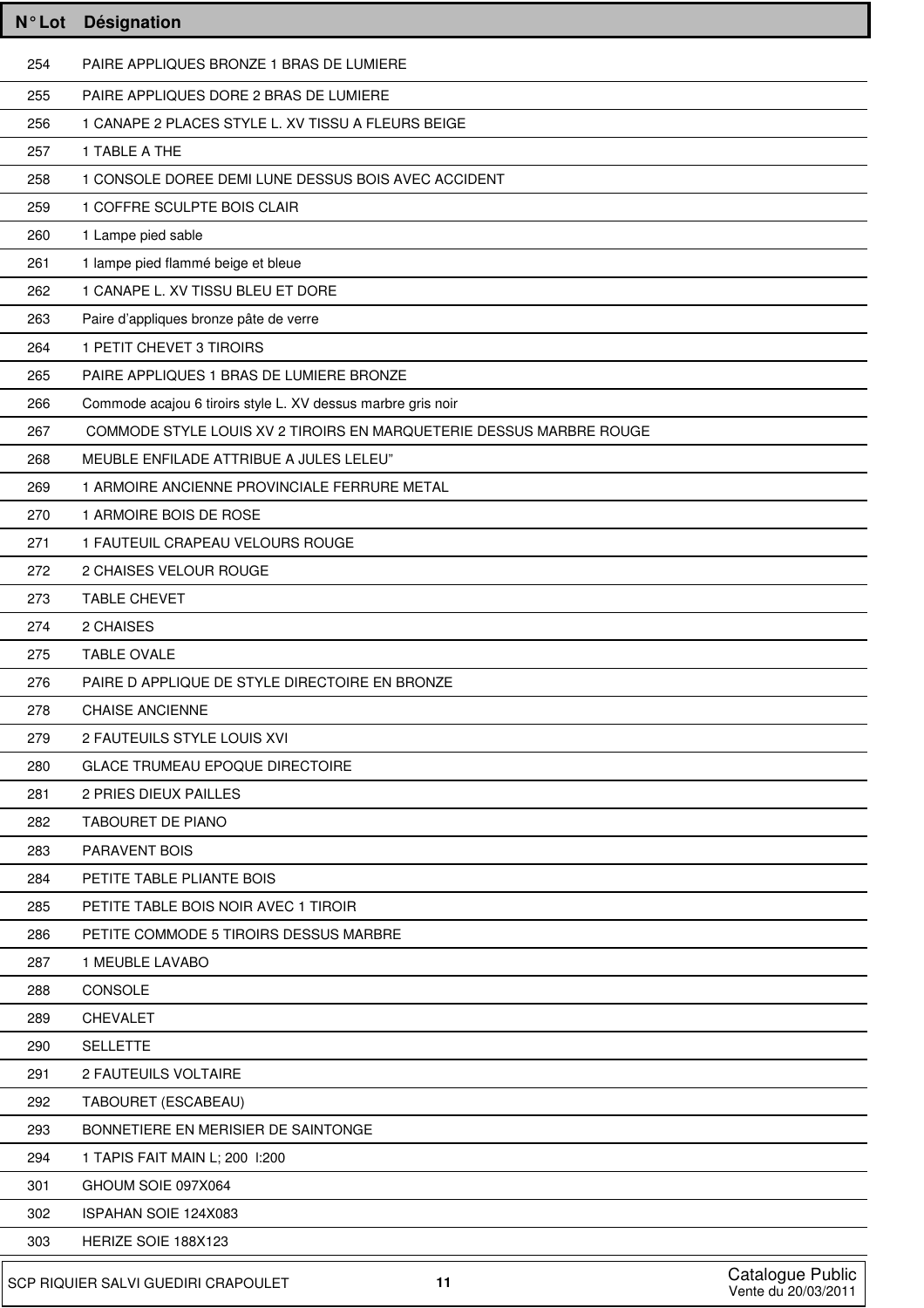| <b>N°Lot</b>                                                                         | Désignation                                                         |  |
|--------------------------------------------------------------------------------------|---------------------------------------------------------------------|--|
| 254                                                                                  | PAIRE APPLIQUES BRONZE 1 BRAS DE LUMIERE                            |  |
| 255                                                                                  | PAIRE APPLIQUES DORE 2 BRAS DE LUMIERE                              |  |
| 256                                                                                  | 1 CANAPE 2 PLACES STYLE L. XV TISSU A FLEURS BEIGE                  |  |
| 257                                                                                  | 1 TABLE A THE                                                       |  |
| 258                                                                                  | 1 CONSOLE DOREE DEMI LUNE DESSUS BOIS AVEC ACCIDENT                 |  |
| 259                                                                                  | 1 COFFRE SCULPTE BOIS CLAIR                                         |  |
| 260                                                                                  | 1 Lampe pied sable                                                  |  |
| 261                                                                                  | 1 lampe pied flammé beige et bleue                                  |  |
| 262                                                                                  | 1 CANAPE L. XV TISSU BLEU ET DORE                                   |  |
| 263                                                                                  | Paire d'appliques bronze pâte de verre                              |  |
| 264                                                                                  | 1 PETIT CHEVET 3 TIROIRS                                            |  |
| 265                                                                                  | PAIRE APPLIQUES 1 BRAS DE LUMIERE BRONZE                            |  |
| 266                                                                                  | Commode acajou 6 tiroirs style L. XV dessus marbre gris noir        |  |
| 267                                                                                  | COMMODE STYLE LOUIS XV 2 TIROIRS EN MARQUETERIE DESSUS MARBRE ROUGE |  |
| 268                                                                                  | MEUBLE ENFILADE ATTRIBUE A JULES LELEU"                             |  |
| 269                                                                                  | 1 ARMOIRE ANCIENNE PROVINCIALE FERRURE METAL                        |  |
| 270                                                                                  | 1 ARMOIRE BOIS DE ROSE                                              |  |
| 271                                                                                  | 1 FAUTEUIL CRAPEAU VELOURS ROUGE                                    |  |
| 272                                                                                  | 2 CHAISES VELOUR ROUGE                                              |  |
| 273                                                                                  | <b>TABLE CHEVET</b>                                                 |  |
| 274                                                                                  | 2 CHAISES                                                           |  |
| 275                                                                                  | <b>TABLE OVALE</b>                                                  |  |
| 276                                                                                  | PAIRE D APPLIQUE DE STYLE DIRECTOIRE EN BRONZE                      |  |
| 278                                                                                  | <b>CHAISE ANCIENNE</b>                                              |  |
| 279                                                                                  | 2 FAUTEUILS STYLE LOUIS XVI                                         |  |
| 280                                                                                  | <b>GLACE TRUMEAU EPOQUE DIRECTOIRE</b>                              |  |
| 281                                                                                  | 2 PRIES DIEUX PAILLES                                               |  |
| 282                                                                                  | <b>TABOURET DE PIANO</b>                                            |  |
| 283                                                                                  | PARAVENT BOIS                                                       |  |
| 284                                                                                  | PETITE TABLE PLIANTE BOIS                                           |  |
| 285                                                                                  | PETITE TABLE BOIS NOIR AVEC 1 TIROIR                                |  |
| 286                                                                                  | PETITE COMMODE 5 TIROIRS DESSUS MARBRE                              |  |
| 287                                                                                  | 1 MEUBLE LAVABO                                                     |  |
| 288                                                                                  | CONSOLE                                                             |  |
| 289                                                                                  | <b>CHEVALET</b>                                                     |  |
| 290                                                                                  | <b>SELLETTE</b>                                                     |  |
| 291                                                                                  | 2 FAUTEUILS VOLTAIRE                                                |  |
| 292<br>293                                                                           | TABOURET (ESCABEAU)<br>BONNETIERE EN MERISIER DE SAINTONGE          |  |
| 294                                                                                  | 1 TAPIS FAIT MAIN L; 200 1:200                                      |  |
| 301                                                                                  | GHOUM SOIE 097X064                                                  |  |
| 302                                                                                  | ISPAHAN SOIE 124X083                                                |  |
| 303                                                                                  | HERIZE SOIE 188X123                                                 |  |
|                                                                                      |                                                                     |  |
| Catalogue Public<br>SCP RIQUIER SALVI GUEDIRI CRAPOULET<br>11<br>Vente du 20/03/2011 |                                                                     |  |